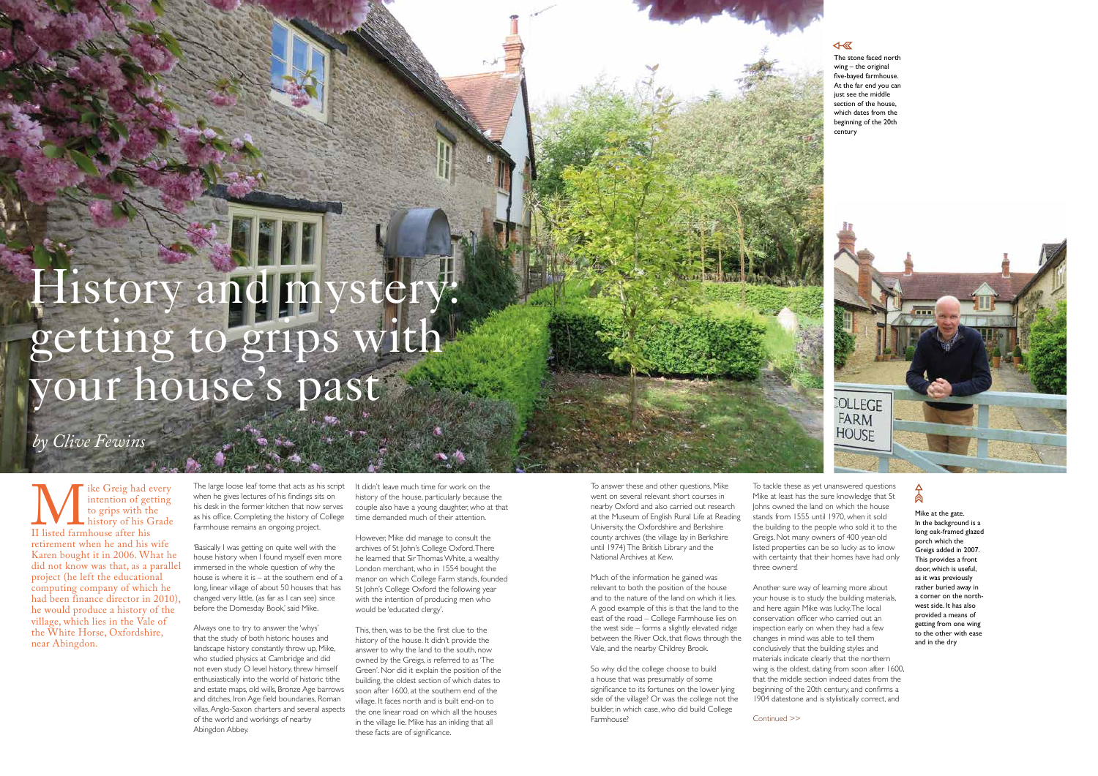With Greig had every<br>
intention of getting<br>
to grips with the<br>
history of his Grade<br>
II listed farmhouse after his<br>
retirement when he and his wife intention of getting to grips with the history of his Grade II listed farmhouse after his Karen bought it in 2006. What he did not know was that, as a parallel project (he left the educational computing company of which he had been finance director in 2010), he would produce a history of the village, which lies in the Vale of the White Horse, Oxfordshire, near Abingdon.

The large loose leaf tome that acts as his script when he gives lectures of his findings sits on his desk in the former kitchen that now serves as his office. Completing the history of College Farmhouse remains an ongoing project.

'Basically I was getting on quite well with the house history when I found myself even more immersed in the whole question of why the house is where it is – at the southern end of a long, linear village of about 50 houses that has changed very little, (as far as I can see) since before the Domesday Book,' said Mike.

It didn't leave much time for work on the history of the house, particularly because the couple also have a young daughter, who at that time demanded much of their attention.

Always one to try to answer the 'whys' that the study of both historic houses and landscape history constantly throw up, Mike, who studied physics at Cambridge and did not even study O level history, threw himself enthusiastically into the world of historic tithe and estate maps, old wills, Bronze Age barrows and ditches, Iron Age field boundaries, Roman villas, Anglo-Saxon charters and several aspects of the world and workings of nearby Abingdon Abbey.

### 4- 区

The stone faced north wing – the original five-bayed farmhouse. At the far end you can just see the middle section of the house, which dates from the beginning of the 20th century





However, Mike did manage to consult the archives of St John's College Oxford. There he learned that Sir Thomas White, a wealthy London merchant, who in 1554 bought the manor on which College Farm stands, founded St John's College Oxford the following year with the intention of producing men who would be 'educated clergy'.

This, then, was to be the first clue to the history of the house. It didn't provide the answer to why the land to the south, now owned by the Greigs, is referred to as 'The Green'. Nor did it explain the position of the building, the oldest section of which dates to soon after 1600, at the southern end of the village. It faces north and is built end-on to the one linear road on which all the houses in the village lie. Mike has an inkling that all these facts are of significance.

# History and mystery: getting to grips with your house's past

# *by Clive Fewins*

To answer these and other questions, Mike went on several relevant short courses in nearby Oxford and also carried out research at the Museum of English Rural Life at Reading University, the Oxfordshire and Berkshire county archives (the village lay in Berkshire until 1974) The British Library and the National Archives at Kew.

Much of the information he gained was relevant to both the position of the house and to the nature of the land on which it lies. A good example of this is that the land to the east of the road – College Farmhouse lies on the west side – forms a slightly elevated ridge between the River Ock, that flows through the Vale, and the nearby Childrey Brook.

So why did the college choose to build a house that was presumably of some significance to its fortunes on the lower lying side of the village? Or was the college not the builder, in which case, who did build College Farmhouse?

To tackle these as yet unanswered questions Mike at least has the sure knowledge that St Johns owned the land on which the house stands from 1555 until 1970, when it sold the building to the people who sold it to the Greigs. Not many owners of 400 year-old listed properties can be so lucky as to know with certainty that their homes have had only three owners!

Another sure way of learning more about your house is to study the building materials, and here again Mike was lucky. The local conservation officer who carried out an inspection early on when they had a few changes in mind was able to tell them conclusively that the building styles and materials indicate clearly that the northern wing is the oldest, dating from soon after 1600, that the middle section indeed dates from the beginning of the 20th century, and confirms a 1904 datestone and is stylistically correct, and

Mike at the gate. In the background is a long oak-framed glazed porch which the .<br>Greigs added in 2007. This provides a front door, which is useful, as it was previously rather buried away in a corner on the north west side. It has also provided a means of getting from one wing to the other with ease and in the dry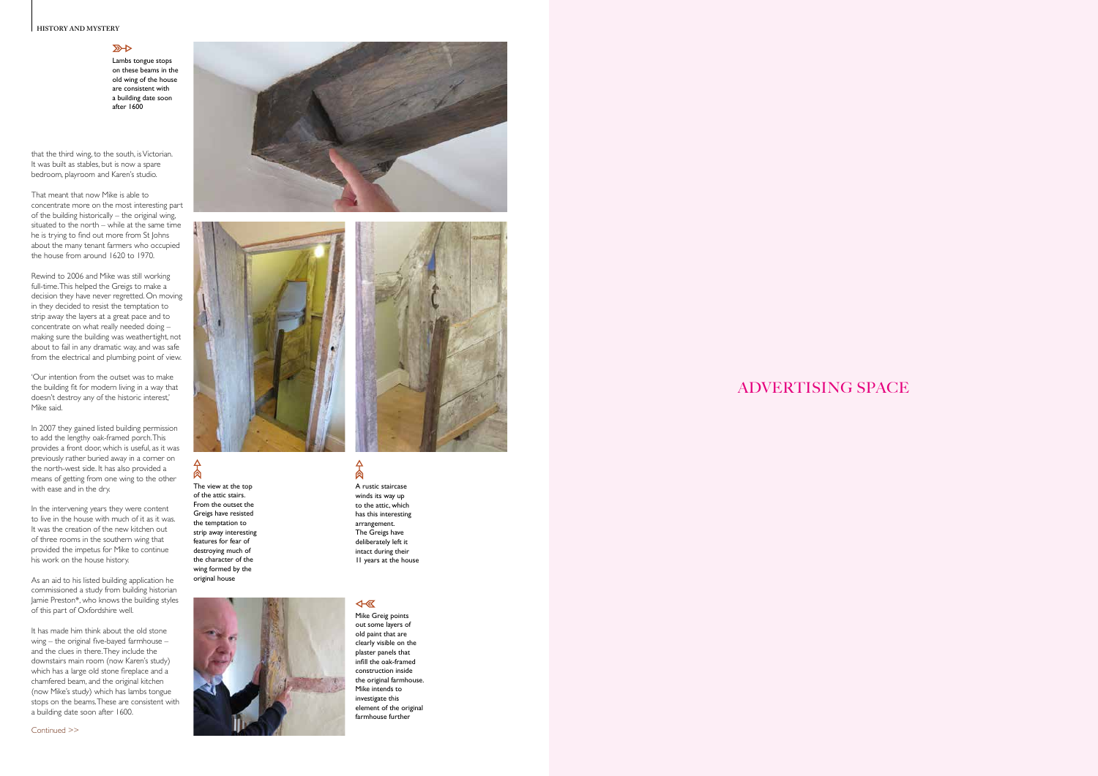### **HISTORY AND MYSTERY**

### $R$

# ADVERTISING SPACE

Lambs tongue stops on these beams in the old wing of the house are consistent with a building date soon after 1600

that the third wing, to the south, is Victorian. It was built as stables, but is now a spare bedroom, playroom and Karen's studio.

That meant that now Mike is able to concentrate more on the most interesting part of the building historically – the original wing, situated to the north – while at the same time he is trying to find out more from St Johns about the many tenant farmers who occupied the house from around 1620 to 1970.

In 2007 they gained listed building permission to add the lengthy oak-framed porch. This provides a front door, which is useful, as it was previously rather buried away in a corner on the north-west side. It has also provided a means of getting from one wing to the other with ease and in the dry.

Rewind to 2006 and Mike was still working full-time. This helped the Greigs to make a decision they have never regretted. On moving in they decided to resist the temptation to strip away the layers at a great pace and to concentrate on what really needed doing – making sure the building was weathertight, not about to fail in any dramatic way, and was safe from the electrical and plumbing point of view.

'Our intention from the outset was to make the building fit for modern living in a way that doesn't destroy any of the historic interest,' Mike said.

> 肏 A rustic staircase winds its way up

In the intervening years they were content to live in the house with much of it as it was. It was the creation of the new kitchen out of three rooms in the southern wing that provided the impetus for Mike to continue his work on the house history.

As an aid to his listed building application he commissioned a study from building historian Jamie Preston\*, who knows the building styles of this part of Oxfordshire well.

It has made him think about the old stone wing – the original five-bayed farmhouse – and the clues in there. They include the downstairs main room (now Karen's study) which has a large old stone fireplace and a chamfered beam, and the original kitchen (now Mike's study) which has lambs tongue stops on the beams. These are consistent with a building date soon after 1600.





The view at the top of the attic stairs. From the outset the Greigs have resisted the temptation to strip away interesting features for fear of destroying much of the character of the wing formed by the original house

 $\Delta$ 



## $\overline{\mathbb{R}}$

Mike Greig points



out some layers of old paint that are clearly visible on the plaster panels that infill the oak-framed construction inside the original farmhouse. Mike intends to investigate this element of the original farmhouse further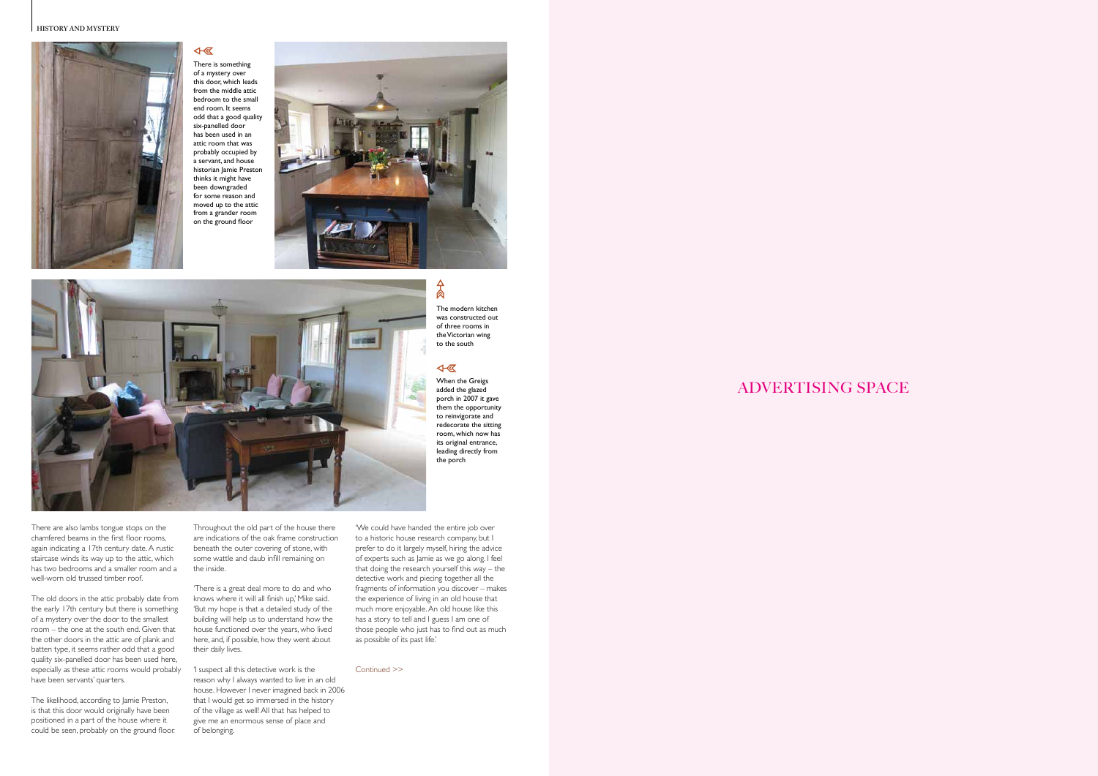



# ADVERTISING SPACE



There is something of a mystery over this door, which leads from the middle attic bedroom to the small end room. It seems odd that a good quality six-panelled door has been used in an attic room that was probably occupied by a servant, and house historian Jamie Preston thinks it might have been downgraded for some reason and moved up to the attic from a grander room on the ground floor

 $\overline{\mathcal{A}}$ 

There are also lambs tongue stops on the chamfered beams in the first floor rooms, again indicating a 17th century date. A rustic staircase winds its way up to the attic, which has two bedrooms and a smaller room and a well-worn old trussed timber roof.

The old doors in the attic probably date from the early 17th century but there is something of a mystery over the door to the smallest room – the one at the south end. Given that the other doors in the attic are of plank and batten type, it seems rather odd that a good quality six-panelled door has been used here, especially as these attic rooms would probably have been servants' quarters.

The likelihood, according to Jamie Preston, is that this door would originally have been positioned in a part of the house where it could be seen, probably on the ground floor.

Throughout the old part of the house there are indications of the oak frame construction beneath the outer covering of stone, with some wattle and daub infill remaining on the inside.

'There is a great deal more to do and who knows where it will all finish up,' Mike said. 'But my hope is that a detailed study of the building will help us to understand how the house functioned over the years, who lived here, and, if possible, how they went about their daily lives.

'I suspect all this detective work is the reason why I always wanted to live in an old house. However I never imagined back in 2006 that I would get so immersed in the history of the village as well! All that has helped to give me an enormous sense of place and of belonging.

Continued >>

# $\frac{1}{2}$

'We could have handed the entire job over to a historic house research company, but I prefer to do it largely myself, hiring the advice of experts such as Jamie as we go along. I feel that doing the research yourself this way – the detective work and piecing together all the fragments of information you discover – makes the experience of living in an old house that much more enjoyable. An old house like this has a story to tell and I guess I am one of those people who just has to find out as much as possible of its past life.'

The modern kitchen was constructed out of three rooms in the Victorian wing to the south

### 4

When the Greigs added the glazed porch in 2007 it gave them the opportunity to reinvigorate and redecorate the sitting room, which now has its original entrance, leading directly from the porch